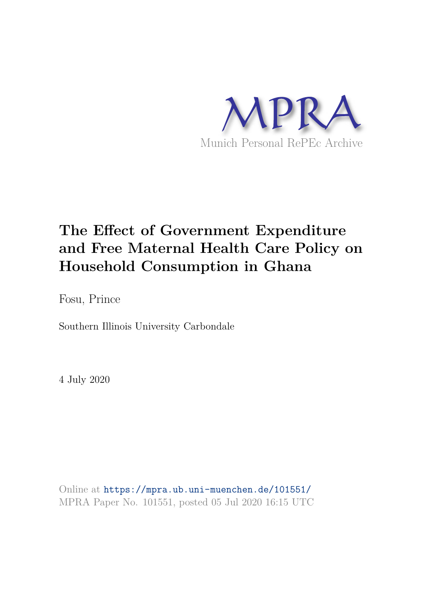

# **The Effect of Government Expenditure and Free Maternal Health Care Policy on Household Consumption in Ghana**

Fosu, Prince

Southern Illinois University Carbondale

4 July 2020

Online at https://mpra.ub.uni-muenchen.de/101551/ MPRA Paper No. 101551, posted 05 Jul 2020 16:15 UTC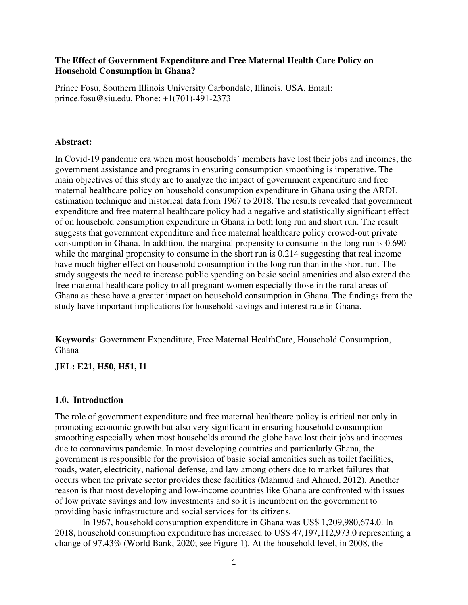#### **The Effect of Government Expenditure and Free Maternal Health Care Policy on Household Consumption in Ghana?**

Prince Fosu, Southern Illinois University Carbondale, Illinois, USA. Email: prince.fosu@siu.edu, Phone: +1(701)-491-2373

#### **Abstract:**

In Covid-19 pandemic era when most households' members have lost their jobs and incomes, the government assistance and programs in ensuring consumption smoothing is imperative. The main objectives of this study are to analyze the impact of government expenditure and free maternal healthcare policy on household consumption expenditure in Ghana using the ARDL estimation technique and historical data from 1967 to 2018. The results revealed that government expenditure and free maternal healthcare policy had a negative and statistically significant effect of on household consumption expenditure in Ghana in both long run and short run. The result suggests that government expenditure and free maternal healthcare policy crowed-out private consumption in Ghana. In addition, the marginal propensity to consume in the long run is 0.690 while the marginal propensity to consume in the short run is 0.214 suggesting that real income have much higher effect on household consumption in the long run than in the short run. The study suggests the need to increase public spending on basic social amenities and also extend the free maternal healthcare policy to all pregnant women especially those in the rural areas of Ghana as these have a greater impact on household consumption in Ghana. The findings from the study have important implications for household savings and interest rate in Ghana.

**Keywords**: Government Expenditure, Free Maternal HealthCare, Household Consumption, Ghana

### **JEL: E21, H50, H51, I1**

#### **1.0. Introduction**

The role of government expenditure and free maternal healthcare policy is critical not only in promoting economic growth but also very significant in ensuring household consumption smoothing especially when most households around the globe have lost their jobs and incomes due to coronavirus pandemic. In most developing countries and particularly Ghana, the government is responsible for the provision of basic social amenities such as toilet facilities, roads, water, electricity, national defense, and law among others due to market failures that occurs when the private sector provides these facilities (Mahmud and Ahmed, 2012). Another reason is that most developing and low-income countries like Ghana are confronted with issues of low private savings and low investments and so it is incumbent on the government to providing basic infrastructure and social services for its citizens.

In 1967, household consumption expenditure in Ghana was US\$ 1,209,980,674.0. In 2018, household consumption expenditure has increased to US\$ 47,197,112,973.0 representing a change of 97.43% (World Bank, 2020; see Figure 1). At the household level, in 2008, the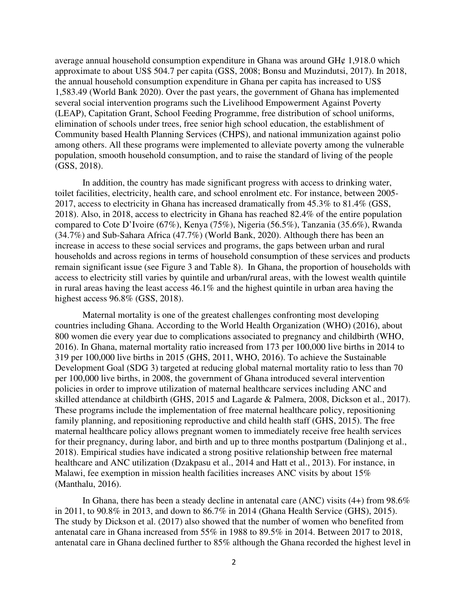average annual household consumption expenditure in Ghana was around GH¢ 1,918.0 which approximate to about US\$ 504.7 per capita (GSS, 2008; Bonsu and Muzindutsi, 2017). In 2018, the annual household consumption expenditure in Ghana per capita has increased to US\$ 1,583.49 (World Bank 2020). Over the past years, the government of Ghana has implemented several social intervention programs such the Livelihood Empowerment Against Poverty (LEAP), Capitation Grant, School Feeding Programme, free distribution of school uniforms, elimination of schools under trees, free senior high school education, the establishment of Community based Health Planning Services (CHPS), and national immunization against polio among others. All these programs were implemented to alleviate poverty among the vulnerable population, smooth household consumption, and to raise the standard of living of the people (GSS, 2018).

In addition, the country has made significant progress with access to drinking water, toilet facilities, electricity, health care, and school enrolment etc. For instance, between 2005- 2017, access to electricity in Ghana has increased dramatically from 45.3% to 81.4% (GSS, 2018). Also, in 2018, access to electricity in Ghana has reached 82.4% of the entire population compared to Cote D'Ivoire (67%), Kenya (75%), Nigeria (56.5%), Tanzania (35.6%), Rwanda (34.7%) and Sub-Sahara Africa (47.7%) (World Bank, 2020). Although there has been an increase in access to these social services and programs, the gaps between urban and rural households and across regions in terms of household consumption of these services and products remain significant issue (see Figure 3 and Table 8). In Ghana, the proportion of households with access to electricity still varies by quintile and urban/rural areas, with the lowest wealth quintile in rural areas having the least access 46.1% and the highest quintile in urban area having the highest access 96.8% (GSS, 2018).

Maternal mortality is one of the greatest challenges confronting most developing countries including Ghana. According to the World Health Organization (WHO) (2016), about 800 women die every year due to complications associated to pregnancy and childbirth (WHO, 2016). In Ghana, maternal mortality ratio increased from 173 per 100,000 live births in 2014 to 319 per 100,000 live births in 2015 (GHS, 2011, WHO, 2016). To achieve the Sustainable Development Goal (SDG 3) targeted at reducing global maternal mortality ratio to less than 70 per 100,000 live births, in 2008, the government of Ghana introduced several intervention policies in order to improve utilization of maternal healthcare services including ANC and skilled attendance at childbirth (GHS, 2015 and Lagarde & Palmera, 2008, Dickson et al., 2017). These programs include the implementation of free maternal healthcare policy, repositioning family planning, and repositioning reproductive and child health staff (GHS, 2015). The free maternal healthcare policy allows pregnant women to immediately receive free health services for their pregnancy, during labor, and birth and up to three months postpartum (Dalinjong et al., 2018). Empirical studies have indicated a strong positive relationship between free maternal healthcare and ANC utilization (Dzakpasu et al., 2014 and Hatt et al., 2013). For instance, in Malawi, fee exemption in mission health facilities increases ANC visits by about 15% (Manthalu, 2016).

 In Ghana, there has been a steady decline in antenatal care (ANC) visits (4+) from 98.6% in 2011, to 90.8% in 2013, and down to 86.7% in 2014 (Ghana Health Service (GHS), 2015). The study by Dickson et al. (2017) also showed that the number of women who benefited from antenatal care in Ghana increased from 55% in 1988 to 89.5% in 2014. Between 2017 to 2018, antenatal care in Ghana declined further to 85% although the Ghana recorded the highest level in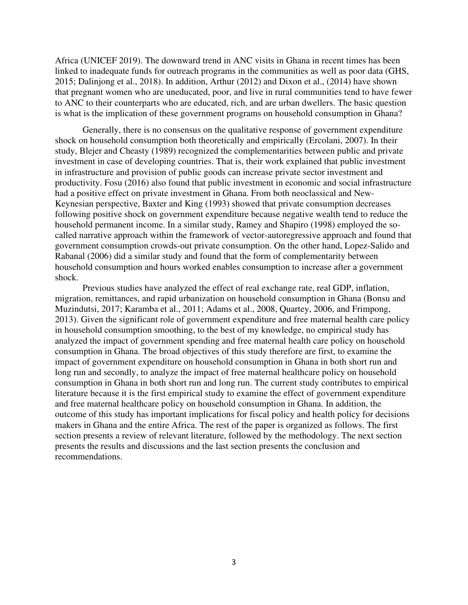Africa (UNICEF 2019). The downward trend in ANC visits in Ghana in recent times has been linked to inadequate funds for outreach programs in the communities as well as poor data (GHS, 2015; Dalinjong et al., 2018). In addition, Arthur (2012) and Dixon et al., (2014) have shown that pregnant women who are uneducated, poor, and live in rural communities tend to have fewer to ANC to their counterparts who are educated, rich, and are urban dwellers. The basic question is what is the implication of these government programs on household consumption in Ghana?

Generally, there is no consensus on the qualitative response of government expenditure shock on household consumption both theoretically and empirically (Ercolani, 2007). In their study, Blejer and Cheasty (1989) recognized the complementarities between public and private investment in case of developing countries. That is, their work explained that public investment in infrastructure and provision of public goods can increase private sector investment and productivity. Fosu (2016) also found that public investment in economic and social infrastructure had a positive effect on private investment in Ghana. From both neoclassical and New-Keynesian perspective, Baxter and King (1993) showed that private consumption decreases following positive shock on government expenditure because negative wealth tend to reduce the household permanent income. In a similar study, Ramey and Shapiro (1998) employed the socalled narrative approach within the framework of vector-autoregressive approach and found that government consumption crowds-out private consumption. On the other hand, Lopez-Salido and Rabanal (2006) did a similar study and found that the form of complementarity between household consumption and hours worked enables consumption to increase after a government shock.

Previous studies have analyzed the effect of real exchange rate, real GDP, inflation, migration, remittances, and rapid urbanization on household consumption in Ghana (Bonsu and Muzindutsi, 2017; Karamba et al., 2011; Adams et al., 2008, Quartey, 2006, and Frimpong, 2013). Given the significant role of government expenditure and free maternal health care policy in household consumption smoothing, to the best of my knowledge, no empirical study has analyzed the impact of government spending and free maternal health care policy on household consumption in Ghana. The broad objectives of this study therefore are first, to examine the impact of government expenditure on household consumption in Ghana in both short run and long run and secondly, to analyze the impact of free maternal healthcare policy on household consumption in Ghana in both short run and long run. The current study contributes to empirical literature because it is the first empirical study to examine the effect of government expenditure and free maternal healthcare policy on household consumption in Ghana. In addition, the outcome of this study has important implications for fiscal policy and health policy for decisions makers in Ghana and the entire Africa. The rest of the paper is organized as follows. The first section presents a review of relevant literature, followed by the methodology. The next section presents the results and discussions and the last section presents the conclusion and recommendations.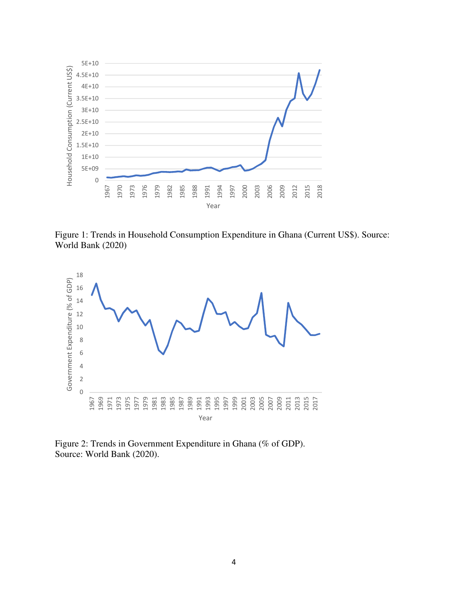

Figure 1: Trends in Household Consumption Expenditure in Ghana (Current US\$). Source: World Bank (2020)



Figure 2: Trends in Government Expenditure in Ghana (% of GDP). Source: World Bank (2020).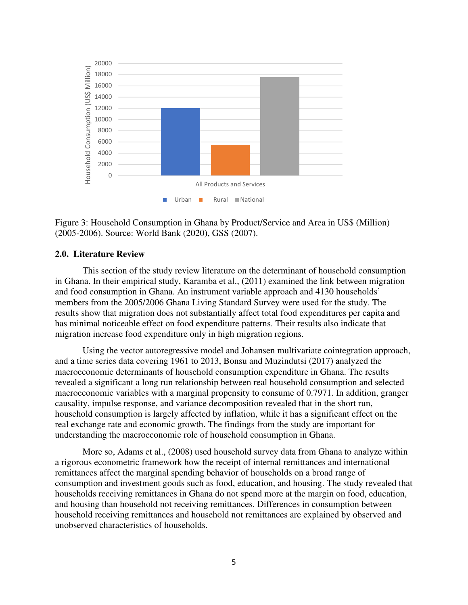

Figure 3: Household Consumption in Ghana by Product/Service and Area in US\$ (Million) (2005-2006). Source: World Bank (2020), GSS (2007).

#### **2.0. Literature Review**

This section of the study review literature on the determinant of household consumption in Ghana. In their empirical study, Karamba et al., (2011) examined the link between migration and food consumption in Ghana. An instrument variable approach and 4130 households' members from the 2005/2006 Ghana Living Standard Survey were used for the study. The results show that migration does not substantially affect total food expenditures per capita and has minimal noticeable effect on food expenditure patterns. Their results also indicate that migration increase food expenditure only in high migration regions.

Using the vector autoregressive model and Johansen multivariate cointegration approach, and a time series data covering 1961 to 2013, Bonsu and Muzindutsi (2017) analyzed the macroeconomic determinants of household consumption expenditure in Ghana. The results revealed a significant a long run relationship between real household consumption and selected macroeconomic variables with a marginal propensity to consume of 0.7971. In addition, granger causality, impulse response, and variance decomposition revealed that in the short run, household consumption is largely affected by inflation, while it has a significant effect on the real exchange rate and economic growth. The findings from the study are important for understanding the macroeconomic role of household consumption in Ghana.

More so, Adams et al., (2008) used household survey data from Ghana to analyze within a rigorous econometric framework how the receipt of internal remittances and international remittances affect the marginal spending behavior of households on a broad range of consumption and investment goods such as food, education, and housing. The study revealed that households receiving remittances in Ghana do not spend more at the margin on food, education, and housing than household not receiving remittances. Differences in consumption between household receiving remittances and household not remittances are explained by observed and unobserved characteristics of households.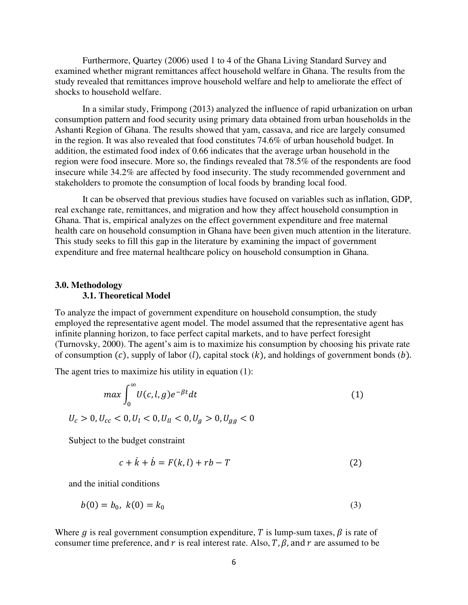Furthermore, Quartey (2006) used 1 to 4 of the Ghana Living Standard Survey and examined whether migrant remittances affect household welfare in Ghana. The results from the study revealed that remittances improve household welfare and help to ameliorate the effect of shocks to household welfare.

In a similar study, Frimpong (2013) analyzed the influence of rapid urbanization on urban consumption pattern and food security using primary data obtained from urban households in the Ashanti Region of Ghana. The results showed that yam, cassava, and rice are largely consumed in the region. It was also revealed that food constitutes 74.6% of urban household budget. In addition, the estimated food index of 0.66 indicates that the average urban household in the region were food insecure. More so, the findings revealed that 78.5% of the respondents are food insecure while 34.2% are affected by food insecurity. The study recommended government and stakeholders to promote the consumption of local foods by branding local food.

It can be observed that previous studies have focused on variables such as inflation, GDP, real exchange rate, remittances, and migration and how they affect household consumption in Ghana. That is, empirical analyzes on the effect government expenditure and free maternal health care on household consumption in Ghana have been given much attention in the literature. This study seeks to fill this gap in the literature by examining the impact of government expenditure and free maternal healthcare policy on household consumption in Ghana.

#### **3.0. Methodology 3.1. Theoretical Model**

To analyze the impact of government expenditure on household consumption, the study employed the representative agent model. The model assumed that the representative agent has infinite planning horizon, to face perfect capital markets, and to have perfect foresight (Turnovsky, 2000). The agent's aim is to maximize his consumption by choosing his private rate of consumption  $(c)$ , supply of labor  $(l)$ , capital stock  $(k)$ , and holdings of government bonds  $(b)$ .

The agent tries to maximize his utility in equation (1):

$$
\max \int_0^{\infty} U(c, l, g) e^{-\beta t} dt
$$
  
\n
$$
U_c > 0, U_{cc} < 0, U_l < 0, U_{ll} < 0, U_g > 0, U_{gg} < 0
$$
 (1)

Subject to the budget constraint

 $\sim$ 

$$
c + \dot{k} + \dot{b} = F(k, l) + rb - T \tag{2}
$$

and the initial conditions

$$
b(0) = b_0, \ k(0) = k_0 \tag{3}
$$

Where g is real government consumption expenditure, T is lump-sum taxes,  $\beta$  is rate of consumer time preference, and  $r$  is real interest rate. Also, T,  $\beta$ , and  $r$  are assumed to be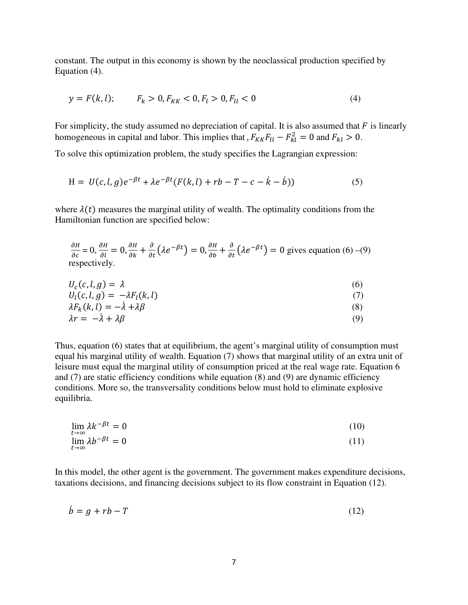constant. The output in this economy is shown by the neoclassical production specified by Equation (4).

$$
y = F(k, l); \tF_k > 0, F_{KK} < 0, F_l > 0, F_{ll} < 0 \t\t(4)
$$

For simplicity, the study assumed no depreciation of capital. It is also assumed that  $F$  is linearly homogeneous in capital and labor. This implies that ,  $F_{KK}F_{ll} - F_{kl}^2 = 0$  and  $F_{kl} > 0$ .

To solve this optimization problem, the study specifies the Lagrangian expression:

$$
H = U(c, l, g)e^{-\beta t} + \lambda e^{-\beta t}(F(k, l) + rb - T - c - \dot{k} - \dot{b}))
$$
\n(5)

where  $\lambda(t)$  measures the marginal utility of wealth. The optimality conditions from the Hamiltonian function are specified below:

$$
\frac{\partial H}{\partial c} = 0, \frac{\partial H}{\partial l} = 0, \frac{\partial H}{\partial k} + \frac{\partial}{\partial t} (\lambda e^{-\beta t}) = 0, \frac{\partial H}{\partial b} + \frac{\partial}{\partial t} (\lambda e^{-\beta t}) = 0
$$
 gives equation (6) –(9) respectively.

$$
U_c(c, l, g) = \lambda \tag{6}
$$

$$
U_l(c, l, g) = -\lambda F_l(k, l) \tag{7}
$$

$$
\begin{aligned}\n\lambda F_k(k,l) &= -\lambda + \lambda \beta \\
\lambda r &= -\lambda + \lambda \beta\n\end{aligned} \tag{8}
$$

Thus, equation (6) states that at equilibrium, the agent's marginal utility of consumption must equal his marginal utility of wealth. Equation (7) shows that marginal utility of an extra unit of leisure must equal the marginal utility of consumption priced at the real wage rate. Equation 6 and (7) are static efficiency conditions while equation (8) and (9) are dynamic efficiency conditions. More so, the transversality conditions below must hold to eliminate explosive equilibria.

$$
\lim_{t \to \infty} \lambda k^{-\beta t} = 0 \tag{10}
$$

$$
\lim_{t \to \infty} \lambda b^{-\beta t} = 0 \tag{11}
$$

In this model, the other agent is the government. The government makes expenditure decisions, taxations decisions, and financing decisions subject to its flow constraint in Equation (12).

$$
\dot{b} = g + rb - T \tag{12}
$$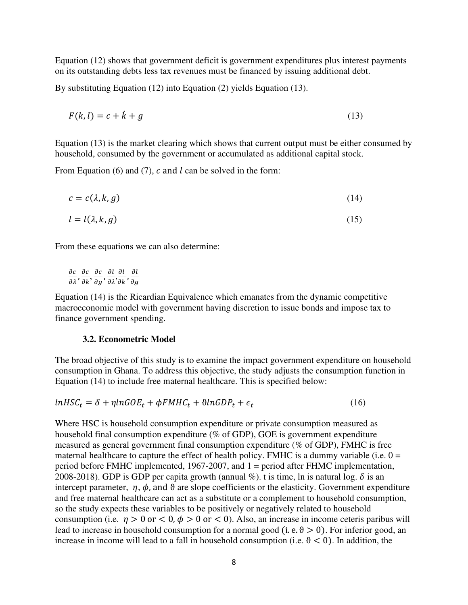Equation (12) shows that government deficit is government expenditures plus interest payments on its outstanding debts less tax revenues must be financed by issuing additional debt.

By substituting Equation (12) into Equation (2) yields Equation (13).

$$
F(k,l) = c + \dot{k} + g \tag{13}
$$

Equation (13) is the market clearing which shows that current output must be either consumed by household, consumed by the government or accumulated as additional capital stock.

From Equation (6) and (7),  $c$  and  $l$  can be solved in the form:

$$
c = c(\lambda, k, g) \tag{14}
$$

$$
l = l(\lambda, k, g) \tag{15}
$$

From these equations we can also determine:

 $\frac{\partial c}{\partial \lambda}, \frac{\partial c}{\partial k}, \frac{\partial c}{\partial g}, \frac{\partial l}{\partial \lambda}, \frac{\partial l}{\partial k}, \frac{\partial l}{\partial g}$ 

Equation (14) is the Ricardian Equivalence which emanates from the dynamic competitive macroeconomic model with government having discretion to issue bonds and impose tax to finance government spending.

#### **3.2. Econometric Model**

The broad objective of this study is to examine the impact government expenditure on household consumption in Ghana. To address this objective, the study adjusts the consumption function in Equation (14) to include free maternal healthcare. This is specified below:

$$
lnHSC_t = \delta + \eta lnGOE_t + \phi F M H C_t + \theta lnGDP_t + \epsilon_t
$$
\n(16)

Where HSC is household consumption expenditure or private consumption measured as household final consumption expenditure (% of GDP), GOE is government expenditure measured as general government final consumption expenditure (% of GDP), FMHC is free maternal healthcare to capture the effect of health policy. FMHC is a dummy variable (i.e.  $0 =$ period before FMHC implemented, 1967-2007, and 1 = period after FHMC implementation, 2008-2018). GDP is GDP per capita growth (annual %), t is time, ln is natural log.  $\delta$  is an intercept parameter,  $\eta$ ,  $\phi$ , and  $\theta$  are slope coefficients or the elasticity. Government expenditure and free maternal healthcare can act as a substitute or a complement to household consumption, so the study expects these variables to be positively or negatively related to household consumption (i.e.  $\eta > 0$  or  $< 0$ ,  $\phi > 0$  or  $< 0$ ). Also, an increase in income ceteris paribus will lead to increase in household consumption for a normal good (i.e.  $\theta > 0$ ). For inferior good, an increase in income will lead to a fall in household consumption (i.e.  $\theta$  < 0). In addition, the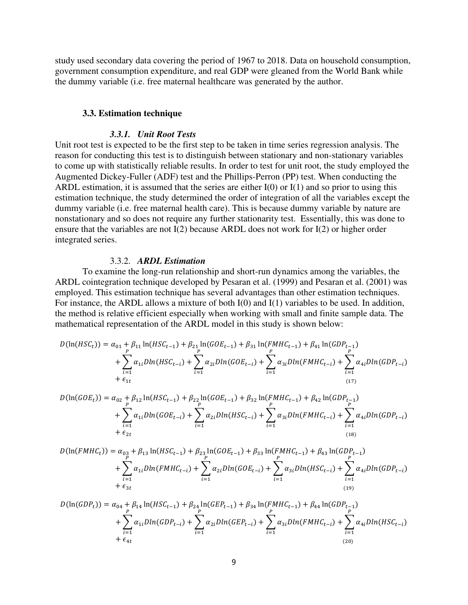study used secondary data covering the period of 1967 to 2018. Data on household consumption, government consumption expenditure, and real GDP were gleaned from the World Bank while the dummy variable (i.e. free maternal healthcare was generated by the author.

#### **3.3. Estimation technique**

#### *3.3.1. Unit Root Tests*

Unit root test is expected to be the first step to be taken in time series regression analysis. The reason for conducting this test is to distinguish between stationary and non-stationary variables to come up with statistically reliable results. In order to test for unit root, the study employed the Augmented Dickey-Fuller (ADF) test and the Phillips-Perron (PP) test. When conducting the ARDL estimation, it is assumed that the series are either  $I(0)$  or  $I(1)$  and so prior to using this estimation technique, the study determined the order of integration of all the variables except the dummy variable (i.e. free maternal health care). This is because dummy variable by nature are nonstationary and so does not require any further stationarity test. Essentially, this was done to ensure that the variables are not I(2) because ARDL does not work for I(2) or higher order integrated series.

#### 3.3.2. *ARDL Estimation*

To examine the long-run relationship and short-run dynamics among the variables, the ARDL cointegration technique developed by Pesaran et al. (1999) and Pesaran et al. (2001) was employed. This estimation technique has several advantages than other estimation techniques. For instance, the ARDL allows a mixture of both I(0) and I(1) variables to be used. In addition, the method is relative efficient especially when working with small and finite sample data. The mathematical representation of the ARDL model in this study is shown below:

$$
D(\ln(HSC_t)) = \alpha_{01} + \beta_{11} \ln(HSC_{t-1}) + \beta_{21} \ln(GOE_{t-1}) + \beta_{31} \ln(FMHC_{t-1}) + \beta_{41} \ln(GDP_{t-1}) + \sum_{P} \alpha_{1i} Dln(HSC_{t-i}) + \sum_{i=1}^{P} \alpha_{2i} Dln(GOE_{t-i}) + \sum_{i=1}^{P} \alpha_{3i} Dln(FMHC_{t-i}) + \sum_{i=1}^{P} \alpha_{4i} Dln(GDP_{t-i}) + \epsilon_{1t} \tag{17}
$$

$$
D(\ln(GOE_t)) = \alpha_{02} + \beta_{12} \ln(HSC_{t-1}) + \beta_{22} \ln(GOE_{t-1}) + \beta_{32} \ln(FMHC_{t-1}) + \beta_{42} \ln(GDP_{t-1}) + \sum_{P} \alpha_{1i} Dln(GOE_{t-i}) + \sum_{i=1}^{P} \alpha_{2i} Dln(HSC_{t-i}) + \sum_{i=1}^{P} \alpha_{3i} Dln(FMHC_{t-i}) + \sum_{i=1}^{P} \alpha_{4i} Dln(GDP_{t-i}) + \epsilon_{2t}
$$
\n(18)

$$
D(\ln(FMHC_t)) = \alpha_{03} + \beta_{13} \ln(HSC_{t-1}) + \beta_{23} \ln(GOE_{t-1}) + \beta_{33} \ln(FMHC_{t-1}) + \beta_{43} \ln(GDP_{t-1}) + \sum_{P \atop i=1}^{P} \alpha_{1i} Dln(FMHC_{t-i}) + \sum_{i=1}^{P} \alpha_{2i} Dln(GOE_{t-i}) + \sum_{i=1}^{P} \alpha_{3i} Dln(HSC_{t-i}) + \sum_{i=1}^{P} \alpha_{4i} Dln(GDP_{t-i}) + \epsilon_{3t}
$$
\n(19)

$$
D(\ln(GDP_t)) = \alpha_{04} + \beta_{14} \ln(HSC_{t-1}) + \beta_{24} \ln(GEP_{t-1}) + \beta_{34} \ln(FMHC_{t-1}) + \beta_{44} \ln(GDP_{t-1}) + \sum_{i=1}^{P} \alpha_{1i} Dln(GDP_{t-i}) + \sum_{i=1}^{P} \alpha_{2i} Dln(GEP_{t-i}) + \sum_{i=1}^{P} \alpha_{3i} Dln(FMHC_{t-i}) + \sum_{i=1}^{P} \alpha_{4i} Dln(HSC_{t-i}) + \epsilon_{4t}
$$
\n(20)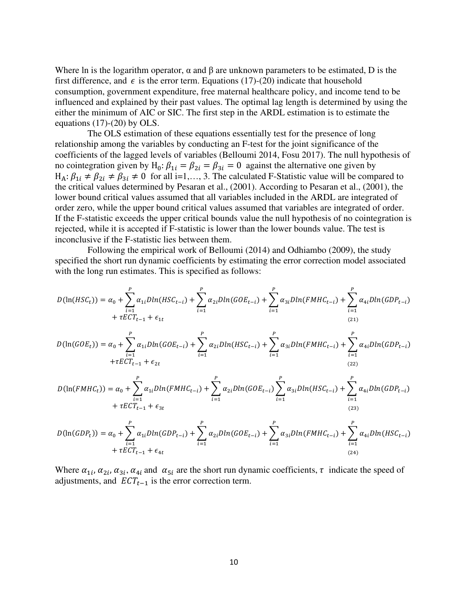Where ln is the logarithm operator,  $\alpha$  and  $\beta$  are unknown parameters to be estimated, D is the first difference, and  $\epsilon$  is the error term. Equations (17)-(20) indicate that household consumption, government expenditure, free maternal healthcare policy, and income tend to be influenced and explained by their past values. The optimal lag length is determined by using the either the minimum of AIC or SIC. The first step in the ARDL estimation is to estimate the equations  $(17)-(20)$  by OLS.

 The OLS estimation of these equations essentially test for the presence of long relationship among the variables by conducting an F-test for the joint significance of the coefficients of the lagged levels of variables (Belloumi 2014, Fosu 2017). The null hypothesis of no cointegration given by  $H_0: \beta_{1i} = \beta_{2i} = \beta_{3i} = 0$  against the alternative one given by  $H_A: \beta_{1i} \neq \beta_{2i} \neq \beta_{3i} \neq 0$  for all i=1,..., 3. The calculated F-Statistic value will be compared to the critical values determined by Pesaran et al., (2001). According to Pesaran et al., (2001), the lower bound critical values assumed that all variables included in the ARDL are integrated of order zero, while the upper bound critical values assumed that variables are integrated of order. If the F-statistic exceeds the upper critical bounds value the null hypothesis of no cointegration is rejected, while it is accepted if F-statistic is lower than the lower bounds value. The test is inconclusive if the F-statistic lies between them.

 Following the empirical work of Belloumi (2014) and Odhiambo (2009), the study specified the short run dynamic coefficients by estimating the error correction model associated with the long run estimates. This is specified as follows:

$$
D(\ln(HSC_t)) = \alpha_0 + \sum_{i=1}^P \alpha_{1i} D\ln(HSC_{t-i}) + \sum_{i=1}^P \alpha_{2i} D\ln(GOE_{t-i}) + \sum_{i=1}^P \alpha_{3i} D\ln(FMHC_{t-i}) + \sum_{i=1}^P \alpha_{4i} D\ln(GDP_{t-i}) + \tau ECT_{t-1} + \epsilon_{1t}
$$
\n(21)

$$
D(\ln(GOE_t)) = \alpha_0 + \sum_{i=1}^P \alpha_{1i} Dln(GOE_{t-i}) + \sum_{i=1}^P \alpha_{2i} Dln(HSC_{t-i}) + \sum_{i=1}^P \alpha_{3i} Dln(FMHC_{t-i}) + \sum_{i=1}^P \alpha_{4i} Dln(GDP_{t-i}) + \tau ECT_{t-1} + \epsilon_{2t}
$$
\n(22)

$$
D(\ln(FMHC_t)) = \alpha_0 + \sum_{i=1}^P \alpha_{1i} Dln(FMHC_{t-i}) + \sum_{i=1}^P \alpha_{2i} Dln(GOE_{t-i}) + \sum_{i=1}^P \alpha_{3i} Dln(HSC_{t-i}) + \sum_{i=1}^P \alpha_{4i} Dln(GDP_{t-i}) + \tau ECT_{t-1} + \epsilon_{3t}
$$
\n(23)

$$
D(\ln(GDP_t)) = \alpha_0 + \sum_{i=1}^P \alpha_{1i} D\ln(GDP_{t-i}) + \sum_{i=1}^P \alpha_{2i} D\ln(GOE_{t-i}) + \sum_{i=1}^P \alpha_{3i} D\ln(FMHC_{t-i}) + \sum_{i=1}^P \alpha_{4i} D\ln(HSC_{t-i}) + \tau ECT_{t-1} + \epsilon_{4t}
$$
\n(24)

Where  $\alpha_{1i}$ ,  $\alpha_{2i}$ ,  $\alpha_{3i}$ ,  $\alpha_{4i}$  and  $\alpha_{5i}$  are the short run dynamic coefficients,  $\tau$  indicate the speed of adjustments, and  $ECT_{t-1}$  is the error correction term.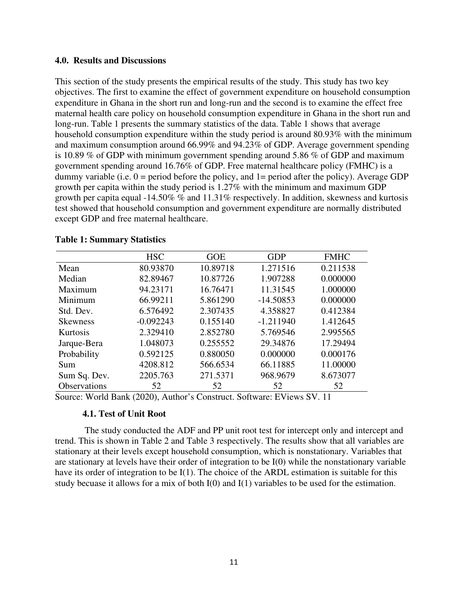#### **4.0. Results and Discussions**

This section of the study presents the empirical results of the study. This study has two key objectives. The first to examine the effect of government expenditure on household consumption expenditure in Ghana in the short run and long-run and the second is to examine the effect free maternal health care policy on household consumption expenditure in Ghana in the short run and long-run. Table 1 presents the summary statistics of the data. Table 1 shows that average household consumption expenditure within the study period is around 80.93% with the minimum and maximum consumption around 66.99% and 94.23% of GDP. Average government spending is 10.89 % of GDP with minimum government spending around 5.86 % of GDP and maximum government spending around 16.76% of GDP. Free maternal healthcare policy (FMHC) is a dummy variable (i.e.  $0 =$  period before the policy, and  $1 =$  period after the policy). Average GDP growth per capita within the study period is 1.27% with the minimum and maximum GDP growth per capita equal -14.50% % and 11.31% respectively. In addition, skewness and kurtosis test showed that household consumption and government expenditure are normally distributed except GDP and free maternal healthcare.

|                 | <b>HSC</b>  | <b>GOE</b> | <b>GDP</b>  | <b>FMHC</b> |
|-----------------|-------------|------------|-------------|-------------|
| Mean            | 80.93870    | 10.89718   | 1.271516    | 0.211538    |
| Median          | 82.89467    | 10.87726   | 1.907288    | 0.000000    |
| Maximum         | 94.23171    | 16.76471   | 11.31545    | 1.000000    |
| Minimum         | 66.99211    | 5.861290   | $-14.50853$ | 0.000000    |
| Std. Dev.       | 6.576492    | 2.307435   | 4.358827    | 0.412384    |
| <b>Skewness</b> | $-0.092243$ | 0.155140   | $-1.211940$ | 1.412645    |
| <b>Kurtosis</b> | 2.329410    | 2.852780   | 5.769546    | 2.995565    |
| Jarque-Bera     | 1.048073    | 0.255552   | 29.34876    | 17.29494    |
| Probability     | 0.592125    | 0.880050   | 0.000000    | 0.000176    |
| Sum             | 4208.812    | 566.6534   | 66.11885    | 11.00000    |
| Sum Sq. Dev.    | 2205.763    | 271.5371   | 968.9679    | 8.673077    |
| Observations    | 52          | 52         | 52          | 52          |

#### **Table 1: Summary Statistics**

Source: World Bank (2020), Author's Construct. Software: EViews SV. 11

#### **4.1. Test of Unit Root**

 The study conducted the ADF and PP unit root test for intercept only and intercept and trend. This is shown in Table 2 and Table 3 respectively. The results show that all variables are stationary at their levels except household consumption, which is nonstationary. Variables that are stationary at levels have their order of integration to be I(0) while the nonstationary variable have its order of integration to be I(1). The choice of the ARDL estimation is suitable for this study becuase it allows for a mix of both I(0) and I(1) variables to be used for the estimation.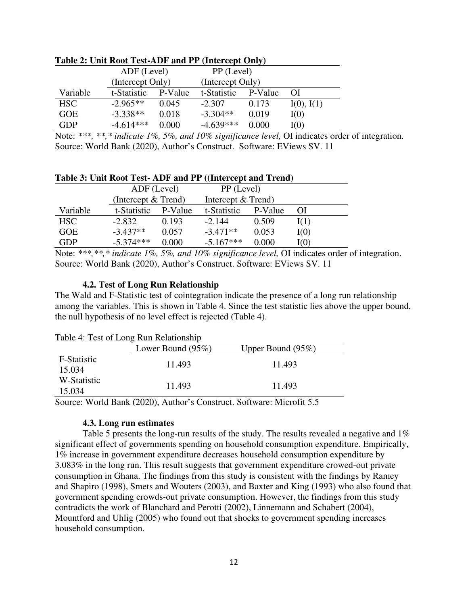|            | $1400C$ $\mu$ , $\sigma$ and $\sigma$ and $\sigma$ and $\sigma$ and $\sigma$ and $\sigma$ |         |                  |         |            |
|------------|-------------------------------------------------------------------------------------------|---------|------------------|---------|------------|
|            | ADF (Level)                                                                               |         | PP (Level)       |         |            |
|            | (Intercept Only)                                                                          |         | (Intercept Only) |         |            |
| Variable   | t-Statistic                                                                               | P-Value | t-Statistic      | P-Value | ΩI         |
| <b>HSC</b> | $-2.965**$                                                                                | 0.045   | $-2.307$         | 0.173   | I(0), I(1) |
| <b>GOE</b> | $-3.338**$                                                                                | 0.018   | $-3.304**$       | 0.019   | I(0)       |
| <b>GDP</b> | $-4.614***$                                                                               | 0.000   | $-4.639***$      | 0.000   | I(0)       |

## **Table 2: Unit Root Test-ADF and PP (Intercept Only)**

Note: *\*\*\*, \*\*,\* indicate 1%, 5%, and 10% significance level,* OI indicates order of integration. Source: World Bank (2020), Author's Construct. Software: EViews SV. 11

#### **Table 3: Unit Root Test- ADF and PP ((Intercept and Trend)**

|            | ADF (Level)           |         | PP (Level)         |         |          |
|------------|-----------------------|---------|--------------------|---------|----------|
|            | (Intercept $&$ Trend) |         | Intercept & Trend) |         |          |
| Variable   | t-Statistic           | P-Value | t-Statistic        | P-Value | $\Omega$ |
| HSC        | $-2.832$              | 0.193   | $-2.144$           | 0.509   | I(1)     |
| <b>GOE</b> | $-3.437**$            | 0.057   | $-3.471**$         | 0.053   | I(0)     |
| GDP        | $-5.374***$           | 0.000   | $-5.167***$        | 0.000   | I(0)     |

Note: *\*\*\*,\*\*,\* indicate 1%, 5%, and 10% significance level,* OI indicates order of integration. Source: World Bank (2020), Author's Construct. Software: EViews SV. 11

### **4.2. Test of Long Run Relationship**

The Wald and F-Statistic test of cointegration indicate the presence of a long run relationship among the variables. This is shown in Table 4. Since the test statistic lies above the upper bound, the null hypothesis of no level effect is rejected (Table 4).

| Table 4: Test of Long Run Relationship |                      |                      |  |  |  |  |
|----------------------------------------|----------------------|----------------------|--|--|--|--|
|                                        | Lower Bound $(95\%)$ | Upper Bound $(95\%)$ |  |  |  |  |
| F-Statistic<br>15.034                  | 11.493               | 11.493               |  |  |  |  |
| W-Statistic<br>15.034                  | 11.493               | 11.493               |  |  |  |  |

Source: World Bank (2020), Author's Construct. Software: Microfit 5.5

#### **4.3. Long run estimates**

Table 5 presents the long-run results of the study. The results revealed a negative and 1% significant effect of governments spending on household consumption expenditure. Empirically, 1% increase in government expenditure decreases household consumption expenditure by 3.083% in the long run. This result suggests that government expenditure crowed-out private consumption in Ghana. The findings from this study is consistent with the findings by Ramey and Shapiro (1998), Smets and Wouters (2003), and Baxter and King (1993) who also found that government spending crowds-out private consumption. However, the findings from this study contradicts the work of Blanchard and Perotti (2002), Linnemann and Schabert (2004), Mountford and Uhlig (2005) who found out that shocks to government spending increases household consumption.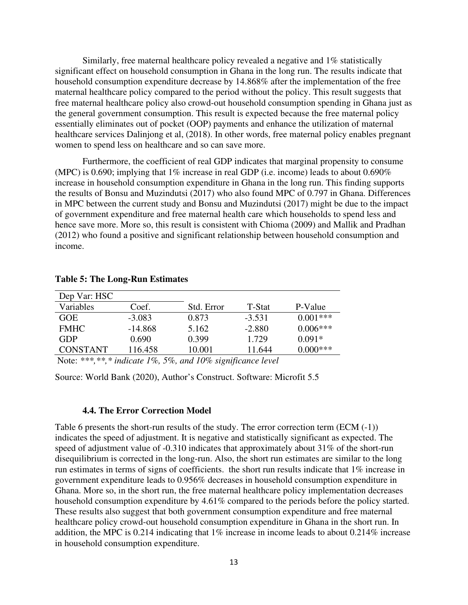Similarly, free maternal healthcare policy revealed a negative and 1% statistically significant effect on household consumption in Ghana in the long run. The results indicate that household consumption expenditure decrease by 14.868% after the implementation of the free maternal healthcare policy compared to the period without the policy. This result suggests that free maternal healthcare policy also crowd-out household consumption spending in Ghana just as the general government consumption. This result is expected because the free maternal policy essentially eliminates out of pocket (OOP) payments and enhance the utilization of maternal healthcare services Dalinjong et al, (2018). In other words, free maternal policy enables pregnant women to spend less on healthcare and so can save more.

Furthermore, the coefficient of real GDP indicates that marginal propensity to consume (MPC) is 0.690; implying that 1% increase in real GDP (i.e. income) leads to about 0.690% increase in household consumption expenditure in Ghana in the long run. This finding supports the results of Bonsu and Muzindutsi (2017) who also found MPC of 0.797 in Ghana. Differences in MPC between the current study and Bonsu and Muzindutsi (2017) might be due to the impact of government expenditure and free maternal health care which households to spend less and hence save more. More so, this result is consistent with Chioma (2009) and Mallik and Pradhan (2012) who found a positive and significant relationship between household consumption and income.

| Dep Var: HSC    |           |                                       |               |            |
|-----------------|-----------|---------------------------------------|---------------|------------|
| Variables       | Coef.     | Std. Error                            | T-Stat        | P-Value    |
| <b>GOE</b>      | $-3.083$  | 0.873                                 | $-3.531$      | $0.001***$ |
| <b>FMHC</b>     | $-14.868$ | 5.162                                 | $-2.880$      | $0.006***$ |
| GDP             | 0.690     | 0.399                                 | 1.729         | $0.091*$   |
| <b>CONSTANT</b> | 116.458   | 10.001                                | 11.644        | $0.000***$ |
| .               | --<br>- ~ | $\sim$ $\sim$ $\sim$<br>$\sim$ $\sim$ | $\sim$ $\sim$ |            |

#### **Table 5: The Long-Run Estimates**

Note: *\*\*\*,\*\*,\* indicate 1%, 5%, and 10% significance level*

Source: World Bank (2020), Author's Construct. Software: Microfit 5.5

#### **4.4. The Error Correction Model**

Table 6 presents the short-run results of the study. The error correction term (ECM (-1)) indicates the speed of adjustment. It is negative and statistically significant as expected. The speed of adjustment value of -0.310 indicates that approximately about 31% of the short-run disequilibrium is corrected in the long-run. Also, the short run estimates are similar to the long run estimates in terms of signs of coefficients. the short run results indicate that 1% increase in government expenditure leads to 0.956% decreases in household consumption expenditure in Ghana. More so, in the short run, the free maternal healthcare policy implementation decreases household consumption expenditure by 4.61% compared to the periods before the policy started. These results also suggest that both government consumption expenditure and free maternal healthcare policy crowd-out household consumption expenditure in Ghana in the short run. In addition, the MPC is 0.214 indicating that 1% increase in income leads to about 0.214% increase in household consumption expenditure.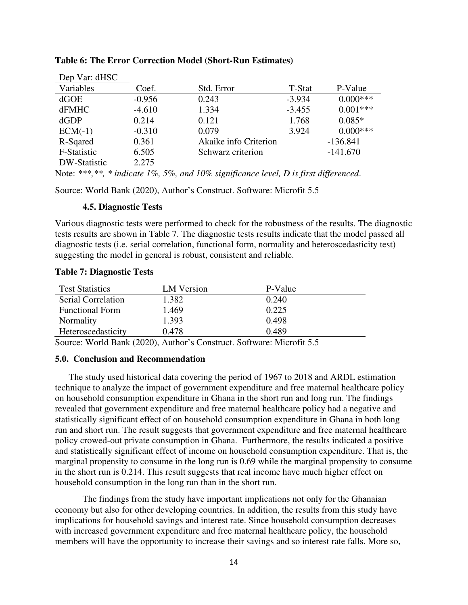| Dep Var: dHSC |          |                       |          |            |
|---------------|----------|-----------------------|----------|------------|
| Variables     | Coef.    | Std. Error            | T-Stat   | P-Value    |
| dGOE          | $-0.956$ | 0.243                 | $-3.934$ | $0.000***$ |
| <b>dFMHC</b>  | $-4.610$ | 1.334                 | $-3.455$ | $0.001***$ |
| dGDP          | 0.214    | 0.121                 | 1.768    | $0.085*$   |
| $ECM(-1)$     | $-0.310$ | 0.079                 | 3.924    | $0.000***$ |
| R-Sqared      | 0.361    | Akaike info Criterion |          | $-136.841$ |
| F-Statistic   | 6.505    | Schwarz criterion     |          | $-141.670$ |
| DW-Statistic  | 2.275    |                       |          |            |

#### **Table 6: The Error Correction Model (Short-Run Estimates)**

Note: *\*\*\*,\*\*, \* indicate 1%, 5%, and 10% significance level, D is first differenced*.

Source: World Bank (2020), Author's Construct. Software: Microfit 5.5

#### **4.5. Diagnostic Tests**

Various diagnostic tests were performed to check for the robustness of the results. The diagnostic tests results are shown in Table 7. The diagnostic tests results indicate that the model passed all diagnostic tests (i.e. serial correlation, functional form, normality and heteroscedasticity test) suggesting the model in general is robust, consistent and reliable.

|  | <b>Table 7: Diagnostic Tests</b> |  |
|--|----------------------------------|--|
|--|----------------------------------|--|

| <b>Test Statistics</b> | LM Version | P-Value |  |
|------------------------|------------|---------|--|
| Serial Correlation     | 1.382      | 0.240   |  |
| <b>Functional Form</b> | 1.469      | 0.225   |  |
| Normality              | 1.393      | 0.498   |  |
| Heteroscedasticity     | 0.478      | 0.489   |  |

Source: World Bank (2020), Author's Construct. Software: Microfit 5.5

#### **5.0. Conclusion and Recommendation**

The study used historical data covering the period of 1967 to 2018 and ARDL estimation technique to analyze the impact of government expenditure and free maternal healthcare policy on household consumption expenditure in Ghana in the short run and long run. The findings revealed that government expenditure and free maternal healthcare policy had a negative and statistically significant effect of on household consumption expenditure in Ghana in both long run and short run. The result suggests that government expenditure and free maternal healthcare policy crowed-out private consumption in Ghana. Furthermore, the results indicated a positive and statistically significant effect of income on household consumption expenditure. That is, the marginal propensity to consume in the long run is 0.69 while the marginal propensity to consume in the short run is 0.214. This result suggests that real income have much higher effect on household consumption in the long run than in the short run.

The findings from the study have important implications not only for the Ghanaian economy but also for other developing countries. In addition, the results from this study have implications for household savings and interest rate. Since household consumption decreases with increased government expenditure and free maternal healthcare policy, the household members will have the opportunity to increase their savings and so interest rate falls. More so,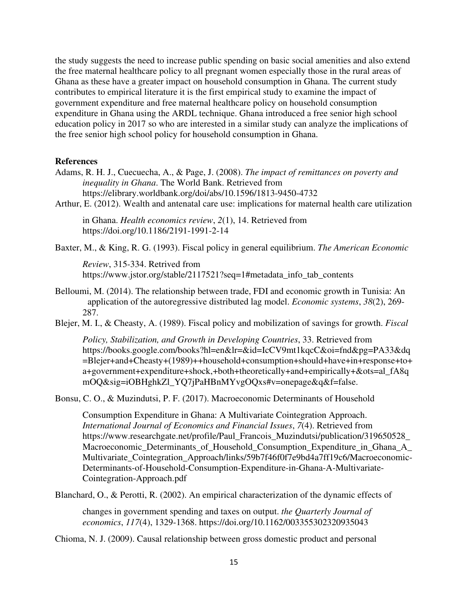the study suggests the need to increase public spending on basic social amenities and also extend the free maternal healthcare policy to all pregnant women especially those in the rural areas of Ghana as these have a greater impact on household consumption in Ghana. The current study contributes to empirical literature it is the first empirical study to examine the impact of government expenditure and free maternal healthcare policy on household consumption expenditure in Ghana using the ARDL technique. Ghana introduced a free senior high school education policy in 2017 so who are interested in a similar study can analyze the implications of the free senior high school policy for household consumption in Ghana.

#### **References**

- Adams, R. H. J., Cuecuecha, A., & Page, J. (2008). *The impact of remittances on poverty and inequality in Ghana*. The World Bank. Retrieved from https://elibrary.worldbank.org/doi/abs/10.1596/1813-9450-4732
- Arthur, E. (2012). Wealth and antenatal care use: implications for maternal health care utilization

in Ghana. *Health economics review*, *2*(1), 14. Retrieved from https://doi.org/10.1186/2191-1991-2-14

Baxter, M., & King, R. G. (1993). Fiscal policy in general equilibrium. *The American Economic* 

*Review*, 315-334. Retrived from https://www.jstor.org/stable/2117521?seq=1#metadata\_info\_tab\_contents

- Belloumi, M. (2014). The relationship between trade, FDI and economic growth in Tunisia: An application of the autoregressive distributed lag model. *Economic systems*, *38*(2), 269- 287.
- Blejer, M. I., & Cheasty, A. (1989). Fiscal policy and mobilization of savings for growth. *Fiscal*

*Policy, Stabilization, and Growth in Developing Countries*, 33. Retrieved from https://books.google.com/books?hl=en&lr=&id=IcCV9mt1kqcC&oi=fnd&pg=PA33&dq =Blejer+and+Cheasty+(1989)++household+consumption+should+have+in+response+to+ a+government+expenditure+shock,+both+theoretically+and+empirically+&ots=al\_fA8q mOQ&sig=iOBHghkZl\_YQ7jPaHBnMYvgOQxs#v=onepage&q&f=false.

Bonsu, C. O., & Muzindutsi, P. F. (2017). Macroeconomic Determinants of Household

Consumption Expenditure in Ghana: A Multivariate Cointegration Approach. *International Journal of Economics and Financial Issues*, *7*(4). Retrieved from https://www.researchgate.net/profile/Paul\_Francois\_Muzindutsi/publication/319650528\_ Macroeconomic Determinants of Household Consumption Expenditure in Ghana A Multivariate\_Cointegration\_Approach/links/59b7f46f0f7e9bd4a7ff19c6/Macroeconomic-Determinants-of-Household-Consumption-Expenditure-in-Ghana-A-Multivariate-Cointegration-Approach.pdf

Blanchard, O., & Perotti, R. (2002). An empirical characterization of the dynamic effects of

changes in government spending and taxes on output. *the Quarterly Journal of economics*, *117*(4), 1329-1368. https://doi.org/10.1162/003355302320935043

Chioma, N. J. (2009). Causal relationship between gross domestic product and personal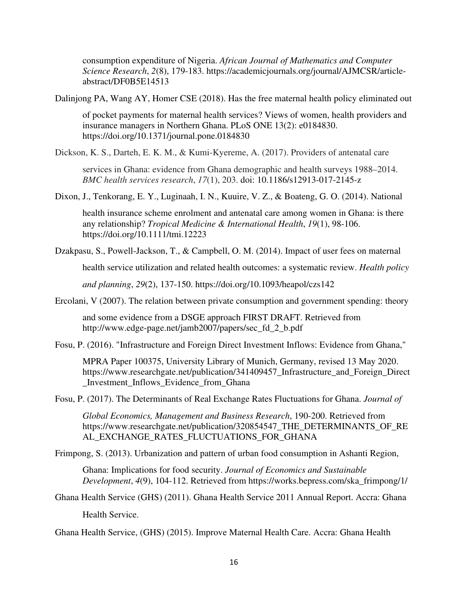consumption expenditure of Nigeria. *African Journal of Mathematics and Computer Science Research*, *2*(8), 179-183. https://academicjournals.org/journal/AJMCSR/articleabstract/DF0B5E14513

Dalinjong PA, Wang AY, Homer CSE (2018). Has the free maternal health policy eliminated out

of pocket payments for maternal health services? Views of women, health providers and insurance managers in Northern Ghana. PLoS ONE 13(2): e0184830. https://doi.org/10.1371/journal.pone.0184830

Dickson, K. S., Darteh, E. K. M., & Kumi-Kyereme, A. (2017). Providers of antenatal care

services in Ghana: evidence from Ghana demographic and health surveys 1988–2014. *BMC health services research*, *17*(1), 203. doi: 10.1186/s12913-017-2145-z

Dixon, J., Tenkorang, E. Y., Luginaah, I. N., Kuuire, V. Z., & Boateng, G. O. (2014). National

health insurance scheme enrolment and antenatal care among women in Ghana: is there any relationship? *Tropical Medicine & International Health*, *19*(1), 98-106. https://doi.org/10.1111/tmi.12223

Dzakpasu, S., Powell-Jackson, T., & Campbell, O. M. (2014). Impact of user fees on maternal

health service utilization and related health outcomes: a systematic review. *Health policy* 

*and planning*, *29*(2), 137-150. https://doi.org/10.1093/heapol/czs142

Ercolani, V (2007). The relation between private consumption and government spending: theory

and some evidence from a DSGE approach FIRST DRAFT. Retrieved from http://www.edge-page.net/jamb2007/papers/sec\_fd\_2\_b.pdf

Fosu, P. (2016). "Infrastructure and Foreign Direct Investment Inflows: Evidence from Ghana,"

MPRA Paper 100375, University Library of Munich, Germany, revised 13 May 2020. https://www.researchgate.net/publication/341409457\_Infrastructure\_and\_Foreign\_Direct \_Investment\_Inflows\_Evidence\_from\_Ghana

Fosu, P. (2017). The Determinants of Real Exchange Rates Fluctuations for Ghana. *Journal of* 

*Global Economics, Management and Business Research*, 190-200. Retrieved from https://www.researchgate.net/publication/320854547 THE DETERMINANTS OF RE AL\_EXCHANGE\_RATES\_FLUCTUATIONS\_FOR\_GHANA

Frimpong, S. (2013). Urbanization and pattern of urban food consumption in Ashanti Region,

Ghana: Implications for food security. *Journal of Economics and Sustainable Development*, *4*(9), 104-112. Retrieved from https://works.bepress.com/ska\_frimpong/1/

Ghana Health Service (GHS) (2011). Ghana Health Service 2011 Annual Report. Accra: Ghana

Health Service.

Ghana Health Service, (GHS) (2015). Improve Maternal Health Care. Accra: Ghana Health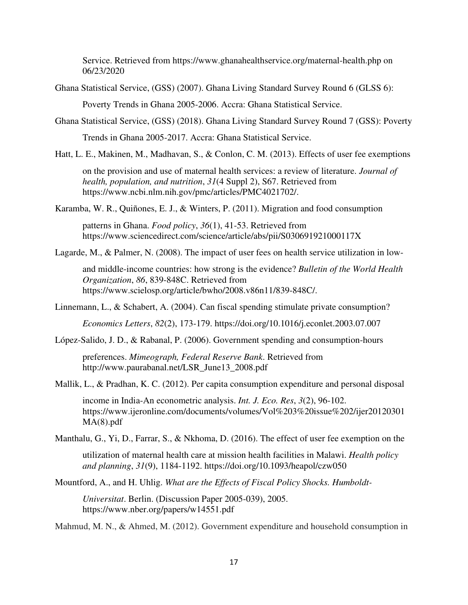Service. Retrieved from https://www.ghanahealthservice.org/maternal-health.php on 06/23/2020

Ghana Statistical Service, (GSS) (2007). Ghana Living Standard Survey Round 6 (GLSS 6):

Poverty Trends in Ghana 2005-2006. Accra: Ghana Statistical Service.

Ghana Statistical Service, (GSS) (2018). Ghana Living Standard Survey Round 7 (GSS): Poverty

Trends in Ghana 2005-2017. Accra: Ghana Statistical Service.

Hatt, L. E., Makinen, M., Madhavan, S., & Conlon, C. M. (2013). Effects of user fee exemptions

on the provision and use of maternal health services: a review of literature. *Journal of health, population, and nutrition*, *31*(4 Suppl 2), S67. Retrieved from https://www.ncbi.nlm.nih.gov/pmc/articles/PMC4021702/.

Karamba, W. R., Quiñones, E. J., & Winters, P. (2011). Migration and food consumption

patterns in Ghana. *Food policy*, *36*(1), 41-53. Retrieved from https://www.sciencedirect.com/science/article/abs/pii/S030691921000117X

Lagarde, M., & Palmer, N. (2008). The impact of user fees on health service utilization in low-

and middle-income countries: how strong is the evidence? *Bulletin of the World Health Organization*, *86*, 839-848C. Retrieved from https://www.scielosp.org/article/bwho/2008.v86n11/839-848C/.

Linnemann, L., & Schabert, A. (2004). Can fiscal spending stimulate private consumption?

*Economics Letters*, *82*(2), 173-179. https://doi.org/10.1016/j.econlet.2003.07.007

López-Salido, J. D., & Rabanal, P. (2006). Government spending and consumption-hours

preferences. *Mimeograph, Federal Reserve Bank*. Retrieved from http://www.paurabanal.net/LSR\_June13\_2008.pdf

Mallik, L., & Pradhan, K. C. (2012). Per capita consumption expenditure and personal disposal

income in India-An econometric analysis. *Int. J. Eco. Res*, *3*(2), 96-102. https://www.ijeronline.com/documents/volumes/Vol%203%20issue%202/ijer20120301 MA(8).pdf

Manthalu, G., Yi, D., Farrar, S., & Nkhoma, D. (2016). The effect of user fee exemption on the

utilization of maternal health care at mission health facilities in Malawi. *Health policy and planning*, *31*(9), 1184-1192. https://doi.org/10.1093/heapol/czw050

Mountford, A., and H. Uhlig. *What are the Effects of Fiscal Policy Shocks. Humboldt-*

*Universitat*. Berlin. (Discussion Paper 2005-039), 2005. https://www.nber.org/papers/w14551.pdf

Mahmud, M. N., & Ahmed, M. (2012). Government expenditure and household consumption in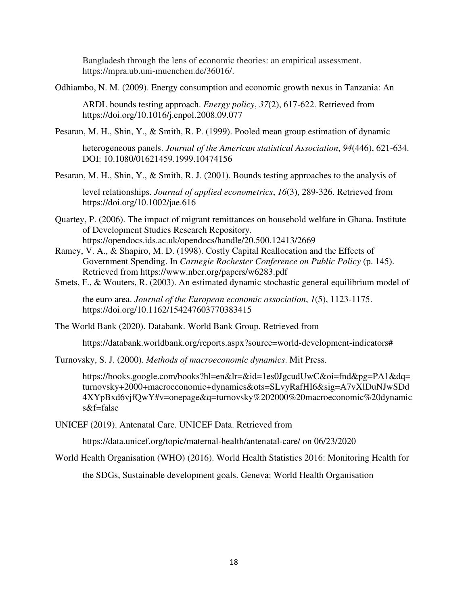Bangladesh through the lens of economic theories: an empirical assessment. https://mpra.ub.uni-muenchen.de/36016/.

Odhiambo, N. M. (2009). Energy consumption and economic growth nexus in Tanzania: An

ARDL bounds testing approach. *Energy policy*, *37*(2), 617-622. Retrieved from https://doi.org/10.1016/j.enpol.2008.09.077

Pesaran, M. H., Shin, Y., & Smith, R. P. (1999). Pooled mean group estimation of dynamic

heterogeneous panels. *Journal of the American statistical Association*, *94*(446), 621-634. DOI: 10.1080/01621459.1999.10474156

Pesaran, M. H., Shin, Y., & Smith, R. J. (2001). Bounds testing approaches to the analysis of

level relationships. *Journal of applied econometrics*, *16*(3), 289-326. Retrieved from https://doi.org/10.1002/jae.616

- Quartey, P. (2006). The impact of migrant remittances on household welfare in Ghana. Institute of Development Studies Research Repository. https://opendocs.ids.ac.uk/opendocs/handle/20.500.12413/2669
- Ramey, V. A., & Shapiro, M. D. (1998). Costly Capital Reallocation and the Effects of Government Spending. In *Carnegie Rochester Conference on Public Policy* (p. 145). Retrieved from https://www.nber.org/papers/w6283.pdf
- Smets, F., & Wouters, R. (2003). An estimated dynamic stochastic general equilibrium model of

the euro area. *Journal of the European economic association*, *1*(5), 1123-1175. https://doi.org/10.1162/154247603770383415

The World Bank (2020). Databank. World Bank Group. Retrieved from

https://databank.worldbank.org/reports.aspx?source=world-development-indicators#

Turnovsky, S. J. (2000). *Methods of macroeconomic dynamics*. Mit Press.

https://books.google.com/books?hl=en&lr=&id=1es0JgcudUwC&oi=fnd&pg=PA1&dq= turnovsky+2000+macroeconomic+dynamics&ots=SLvyRafHI6&sig=A7vXlDuNJwSDd 4XYpBxd6vjfQwY#v=onepage&q=turnovsky%202000%20macroeconomic%20dynamic s&f=false

UNICEF (2019). Antenatal Care. UNICEF Data. Retrieved from

https://data.unicef.org/topic/maternal-health/antenatal-care/ on 06/23/2020

World Health Organisation (WHO) (2016). World Health Statistics 2016: Monitoring Health for

the SDGs, Sustainable development goals. Geneva: World Health Organisation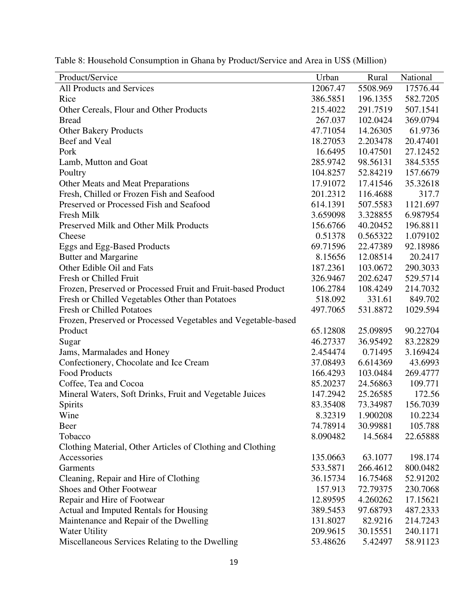| Product/Service                                               | Urban    | Rural    | National |
|---------------------------------------------------------------|----------|----------|----------|
| All Products and Services                                     | 12067.47 | 5508.969 | 17576.44 |
| Rice                                                          | 386.5851 | 196.1355 | 582.7205 |
| Other Cereals, Flour and Other Products                       | 215.4022 | 291.7519 | 507.1541 |
| <b>Bread</b>                                                  | 267.037  | 102.0424 | 369.0794 |
| <b>Other Bakery Products</b>                                  | 47.71054 | 14.26305 | 61.9736  |
| Beef and Veal                                                 | 18.27053 | 2.203478 | 20.47401 |
| Pork                                                          | 16.6495  | 10.47501 | 27.12452 |
| Lamb, Mutton and Goat                                         | 285.9742 | 98.56131 | 384.5355 |
| Poultry                                                       | 104.8257 | 52.84219 | 157.6679 |
| Other Meats and Meat Preparations                             | 17.91072 | 17.41546 | 35.32618 |
| Fresh, Chilled or Frozen Fish and Seafood                     | 201.2312 | 116.4688 | 317.7    |
| Preserved or Processed Fish and Seafood                       | 614.1391 | 507.5583 | 1121.697 |
| Fresh Milk                                                    | 3.659098 | 3.328855 | 6.987954 |
| Preserved Milk and Other Milk Products                        | 156.6766 | 40.20452 | 196.8811 |
| Cheese                                                        | 0.51378  | 0.565322 | 1.079102 |
| Eggs and Egg-Based Products                                   | 69.71596 | 22.47389 | 92.18986 |
| <b>Butter and Margarine</b>                                   | 8.15656  | 12.08514 | 20.2417  |
| Other Edible Oil and Fats                                     | 187.2361 | 103.0672 | 290.3033 |
| Fresh or Chilled Fruit                                        | 326.9467 | 202.6247 | 529.5714 |
| Frozen, Preserved or Processed Fruit and Fruit-based Product  | 106.2784 | 108.4249 | 214.7032 |
| Fresh or Chilled Vegetables Other than Potatoes               | 518.092  | 331.61   | 849.702  |
| <b>Fresh or Chilled Potatoes</b>                              | 497.7065 | 531.8872 | 1029.594 |
| Frozen, Preserved or Processed Vegetables and Vegetable-based |          |          |          |
| Product                                                       | 65.12808 | 25.09895 | 90.22704 |
| Sugar                                                         | 46.27337 | 36.95492 | 83.22829 |
| Jams, Marmalades and Honey                                    | 2.454474 | 0.71495  | 3.169424 |
| Confectionery, Chocolate and Ice Cream                        | 37.08493 | 6.614369 | 43.6993  |
| <b>Food Products</b>                                          | 166.4293 | 103.0484 | 269.4777 |
| Coffee, Tea and Cocoa                                         | 85.20237 | 24.56863 | 109.771  |
| Mineral Waters, Soft Drinks, Fruit and Vegetable Juices       | 147.2942 | 25.26585 | 172.56   |
| Spirits                                                       | 83.35408 | 73.34987 | 156.7039 |
| Wine                                                          | 8.32319  | 1.900208 | 10.2234  |
| Beer                                                          | 74.78914 | 30.99881 | 105.788  |
| Tobacco                                                       | 8.090482 | 14.5684  | 22.65888 |
| Clothing Material, Other Articles of Clothing and Clothing    |          |          |          |
| Accessories                                                   | 135.0663 | 63.1077  | 198.174  |
| Garments                                                      | 533.5871 | 266.4612 | 800.0482 |
| Cleaning, Repair and Hire of Clothing                         | 36.15734 | 16.75468 | 52.91202 |
| Shoes and Other Footwear                                      | 157.913  | 72.79375 | 230.7068 |
| Repair and Hire of Footwear                                   | 12.89595 | 4.260262 | 17.15621 |
| Actual and Imputed Rentals for Housing                        | 389.5453 | 97.68793 | 487.2333 |
| Maintenance and Repair of the Dwelling                        | 131.8027 | 82.9216  | 214.7243 |
| <b>Water Utility</b>                                          | 209.9615 | 30.15551 | 240.1171 |
| Miscellaneous Services Relating to the Dwelling               | 53.48626 | 5.42497  | 58.91123 |

Table 8: Household Consumption in Ghana by Product/Service and Area in US\$ (Million)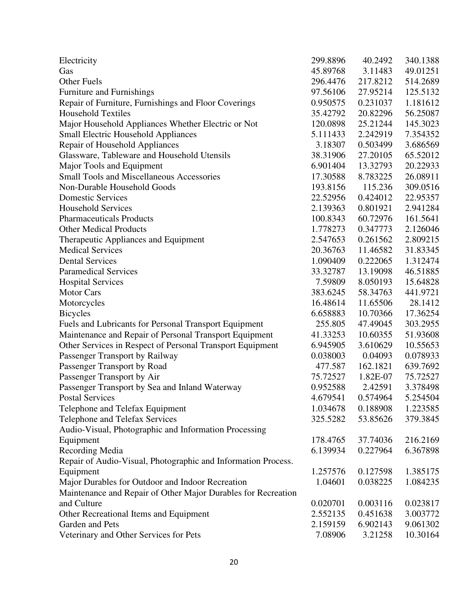| 45.89768<br>3.11483<br>49.01251<br>Gas<br><b>Other Fuels</b><br>296.4476<br>217.8212<br>514.2689<br>Furniture and Furnishings<br>97.56106<br>125.5132<br>27.95214<br>1.181612<br>Repair of Furniture, Furnishings and Floor Coverings<br>0.950575<br>0.231037<br><b>Household Textiles</b><br>56.25087<br>35.42792<br>20.82296<br>Major Household Appliances Whether Electric or Not<br>120.0898<br>25.21244<br>145.3023<br><b>Small Electric Household Appliances</b><br>5.111433<br>2.242919<br>7.354352<br>Repair of Household Appliances<br>3.18307<br>0.503499<br>3.686569<br>Glassware, Tableware and Household Utensils<br>38.31906<br>27.20105<br>65.52012<br>Major Tools and Equipment<br>6.901404<br>13.32793<br>20.22933<br><b>Small Tools and Miscellaneous Accessories</b><br>17.30588<br>8.783225<br>26.08911<br>309.0516<br>Non-Durable Household Goods<br>193.8156<br>115.236<br><b>Domestic Services</b><br>22.52956<br>0.424012<br>22.95357<br><b>Household Services</b><br>2.139363<br>0.801921<br>2.941284<br><b>Pharmaceuticals Products</b><br>100.8343<br>60.72976<br>161.5641<br><b>Other Medical Products</b><br>1.778273<br>0.347773<br>2.126046<br>Therapeutic Appliances and Equipment<br>2.547653<br>0.261562<br>2.809215<br><b>Medical Services</b><br>20.36763<br>11.46582<br>31.83345<br><b>Dental Services</b><br>1.090409<br>0.222065<br>1.312474<br><b>Paramedical Services</b><br>33.32787<br>13.19098<br>46.51885<br><b>Hospital Services</b><br>7.59809<br>8.050193<br>15.64828<br><b>Motor Cars</b><br>383.6245<br>58.34763<br>441.9721<br>Motorcycles<br>16.48614<br>11.65506<br>28.1412<br>6.658883<br><b>Bicycles</b><br>10.70366<br>17.36254<br>303.2955<br>Fuels and Lubricants for Personal Transport Equipment<br>255.805<br>47.49045<br>Maintenance and Repair of Personal Transport Equipment<br>41.33253<br>10.60355<br>51.93608<br>Other Services in Respect of Personal Transport Equipment<br>6.945905<br>3.610629<br>10.55653<br>Passenger Transport by Railway<br>0.038003<br>0.04093<br>0.078933<br>Passenger Transport by Road<br>477.587<br>162.1821<br>639.7692<br>Passenger Transport by Air<br>75.72527<br>1.82E-07<br>75.72527<br>Passenger Transport by Sea and Inland Waterway<br>0.952588<br>2.42591<br>3.378498<br>Postal Services<br>4.679541<br>5.254504<br>0.574964<br>1.034678<br>0.188908<br>1.223585<br>Telephone and Telefax Equipment<br>Telephone and Telefax Services<br>325.5282<br>53.85626<br>379.3845<br>Audio-Visual, Photographic and Information Processing<br>Equipment<br>178.4765<br>37.74036<br>216.2169<br>Recording Media<br>6.139934<br>0.227964<br>6.367898<br>Repair of Audio-Visual, Photographic and Information Process.<br>Equipment<br>1.257576<br>0.127598<br>1.385175<br>Major Durables for Outdoor and Indoor Recreation<br>1.04601<br>0.038225<br>1.084235<br>Maintenance and Repair of Other Major Durables for Recreation<br>and Culture<br>0.020701<br>0.003116<br>0.023817<br>2.552135<br>0.451638<br>3.003772<br>Other Recreational Items and Equipment<br>Garden and Pets<br>2.159159<br>6.902143<br>9.061302<br>3.21258<br>10.30164<br>Veterinary and Other Services for Pets<br>7.08906 | Electricity | 299.8896 | 40.2492 | 340.1388 |
|-----------------------------------------------------------------------------------------------------------------------------------------------------------------------------------------------------------------------------------------------------------------------------------------------------------------------------------------------------------------------------------------------------------------------------------------------------------------------------------------------------------------------------------------------------------------------------------------------------------------------------------------------------------------------------------------------------------------------------------------------------------------------------------------------------------------------------------------------------------------------------------------------------------------------------------------------------------------------------------------------------------------------------------------------------------------------------------------------------------------------------------------------------------------------------------------------------------------------------------------------------------------------------------------------------------------------------------------------------------------------------------------------------------------------------------------------------------------------------------------------------------------------------------------------------------------------------------------------------------------------------------------------------------------------------------------------------------------------------------------------------------------------------------------------------------------------------------------------------------------------------------------------------------------------------------------------------------------------------------------------------------------------------------------------------------------------------------------------------------------------------------------------------------------------------------------------------------------------------------------------------------------------------------------------------------------------------------------------------------------------------------------------------------------------------------------------------------------------------------------------------------------------------------------------------------------------------------------------------------------------------------------------------------------------------------------------------------------------------------------------------------------------------------------------------------------------------------------------------------------------------------------------------------------------------------------------------------------------------------------------------------------------------------------------------------------------------------------------------------------------------------------------------------------------------------------------------|-------------|----------|---------|----------|
|                                                                                                                                                                                                                                                                                                                                                                                                                                                                                                                                                                                                                                                                                                                                                                                                                                                                                                                                                                                                                                                                                                                                                                                                                                                                                                                                                                                                                                                                                                                                                                                                                                                                                                                                                                                                                                                                                                                                                                                                                                                                                                                                                                                                                                                                                                                                                                                                                                                                                                                                                                                                                                                                                                                                                                                                                                                                                                                                                                                                                                                                                                                                                                                                     |             |          |         |          |
|                                                                                                                                                                                                                                                                                                                                                                                                                                                                                                                                                                                                                                                                                                                                                                                                                                                                                                                                                                                                                                                                                                                                                                                                                                                                                                                                                                                                                                                                                                                                                                                                                                                                                                                                                                                                                                                                                                                                                                                                                                                                                                                                                                                                                                                                                                                                                                                                                                                                                                                                                                                                                                                                                                                                                                                                                                                                                                                                                                                                                                                                                                                                                                                                     |             |          |         |          |
|                                                                                                                                                                                                                                                                                                                                                                                                                                                                                                                                                                                                                                                                                                                                                                                                                                                                                                                                                                                                                                                                                                                                                                                                                                                                                                                                                                                                                                                                                                                                                                                                                                                                                                                                                                                                                                                                                                                                                                                                                                                                                                                                                                                                                                                                                                                                                                                                                                                                                                                                                                                                                                                                                                                                                                                                                                                                                                                                                                                                                                                                                                                                                                                                     |             |          |         |          |
|                                                                                                                                                                                                                                                                                                                                                                                                                                                                                                                                                                                                                                                                                                                                                                                                                                                                                                                                                                                                                                                                                                                                                                                                                                                                                                                                                                                                                                                                                                                                                                                                                                                                                                                                                                                                                                                                                                                                                                                                                                                                                                                                                                                                                                                                                                                                                                                                                                                                                                                                                                                                                                                                                                                                                                                                                                                                                                                                                                                                                                                                                                                                                                                                     |             |          |         |          |
|                                                                                                                                                                                                                                                                                                                                                                                                                                                                                                                                                                                                                                                                                                                                                                                                                                                                                                                                                                                                                                                                                                                                                                                                                                                                                                                                                                                                                                                                                                                                                                                                                                                                                                                                                                                                                                                                                                                                                                                                                                                                                                                                                                                                                                                                                                                                                                                                                                                                                                                                                                                                                                                                                                                                                                                                                                                                                                                                                                                                                                                                                                                                                                                                     |             |          |         |          |
|                                                                                                                                                                                                                                                                                                                                                                                                                                                                                                                                                                                                                                                                                                                                                                                                                                                                                                                                                                                                                                                                                                                                                                                                                                                                                                                                                                                                                                                                                                                                                                                                                                                                                                                                                                                                                                                                                                                                                                                                                                                                                                                                                                                                                                                                                                                                                                                                                                                                                                                                                                                                                                                                                                                                                                                                                                                                                                                                                                                                                                                                                                                                                                                                     |             |          |         |          |
|                                                                                                                                                                                                                                                                                                                                                                                                                                                                                                                                                                                                                                                                                                                                                                                                                                                                                                                                                                                                                                                                                                                                                                                                                                                                                                                                                                                                                                                                                                                                                                                                                                                                                                                                                                                                                                                                                                                                                                                                                                                                                                                                                                                                                                                                                                                                                                                                                                                                                                                                                                                                                                                                                                                                                                                                                                                                                                                                                                                                                                                                                                                                                                                                     |             |          |         |          |
|                                                                                                                                                                                                                                                                                                                                                                                                                                                                                                                                                                                                                                                                                                                                                                                                                                                                                                                                                                                                                                                                                                                                                                                                                                                                                                                                                                                                                                                                                                                                                                                                                                                                                                                                                                                                                                                                                                                                                                                                                                                                                                                                                                                                                                                                                                                                                                                                                                                                                                                                                                                                                                                                                                                                                                                                                                                                                                                                                                                                                                                                                                                                                                                                     |             |          |         |          |
|                                                                                                                                                                                                                                                                                                                                                                                                                                                                                                                                                                                                                                                                                                                                                                                                                                                                                                                                                                                                                                                                                                                                                                                                                                                                                                                                                                                                                                                                                                                                                                                                                                                                                                                                                                                                                                                                                                                                                                                                                                                                                                                                                                                                                                                                                                                                                                                                                                                                                                                                                                                                                                                                                                                                                                                                                                                                                                                                                                                                                                                                                                                                                                                                     |             |          |         |          |
|                                                                                                                                                                                                                                                                                                                                                                                                                                                                                                                                                                                                                                                                                                                                                                                                                                                                                                                                                                                                                                                                                                                                                                                                                                                                                                                                                                                                                                                                                                                                                                                                                                                                                                                                                                                                                                                                                                                                                                                                                                                                                                                                                                                                                                                                                                                                                                                                                                                                                                                                                                                                                                                                                                                                                                                                                                                                                                                                                                                                                                                                                                                                                                                                     |             |          |         |          |
|                                                                                                                                                                                                                                                                                                                                                                                                                                                                                                                                                                                                                                                                                                                                                                                                                                                                                                                                                                                                                                                                                                                                                                                                                                                                                                                                                                                                                                                                                                                                                                                                                                                                                                                                                                                                                                                                                                                                                                                                                                                                                                                                                                                                                                                                                                                                                                                                                                                                                                                                                                                                                                                                                                                                                                                                                                                                                                                                                                                                                                                                                                                                                                                                     |             |          |         |          |
|                                                                                                                                                                                                                                                                                                                                                                                                                                                                                                                                                                                                                                                                                                                                                                                                                                                                                                                                                                                                                                                                                                                                                                                                                                                                                                                                                                                                                                                                                                                                                                                                                                                                                                                                                                                                                                                                                                                                                                                                                                                                                                                                                                                                                                                                                                                                                                                                                                                                                                                                                                                                                                                                                                                                                                                                                                                                                                                                                                                                                                                                                                                                                                                                     |             |          |         |          |
|                                                                                                                                                                                                                                                                                                                                                                                                                                                                                                                                                                                                                                                                                                                                                                                                                                                                                                                                                                                                                                                                                                                                                                                                                                                                                                                                                                                                                                                                                                                                                                                                                                                                                                                                                                                                                                                                                                                                                                                                                                                                                                                                                                                                                                                                                                                                                                                                                                                                                                                                                                                                                                                                                                                                                                                                                                                                                                                                                                                                                                                                                                                                                                                                     |             |          |         |          |
|                                                                                                                                                                                                                                                                                                                                                                                                                                                                                                                                                                                                                                                                                                                                                                                                                                                                                                                                                                                                                                                                                                                                                                                                                                                                                                                                                                                                                                                                                                                                                                                                                                                                                                                                                                                                                                                                                                                                                                                                                                                                                                                                                                                                                                                                                                                                                                                                                                                                                                                                                                                                                                                                                                                                                                                                                                                                                                                                                                                                                                                                                                                                                                                                     |             |          |         |          |
|                                                                                                                                                                                                                                                                                                                                                                                                                                                                                                                                                                                                                                                                                                                                                                                                                                                                                                                                                                                                                                                                                                                                                                                                                                                                                                                                                                                                                                                                                                                                                                                                                                                                                                                                                                                                                                                                                                                                                                                                                                                                                                                                                                                                                                                                                                                                                                                                                                                                                                                                                                                                                                                                                                                                                                                                                                                                                                                                                                                                                                                                                                                                                                                                     |             |          |         |          |
|                                                                                                                                                                                                                                                                                                                                                                                                                                                                                                                                                                                                                                                                                                                                                                                                                                                                                                                                                                                                                                                                                                                                                                                                                                                                                                                                                                                                                                                                                                                                                                                                                                                                                                                                                                                                                                                                                                                                                                                                                                                                                                                                                                                                                                                                                                                                                                                                                                                                                                                                                                                                                                                                                                                                                                                                                                                                                                                                                                                                                                                                                                                                                                                                     |             |          |         |          |
|                                                                                                                                                                                                                                                                                                                                                                                                                                                                                                                                                                                                                                                                                                                                                                                                                                                                                                                                                                                                                                                                                                                                                                                                                                                                                                                                                                                                                                                                                                                                                                                                                                                                                                                                                                                                                                                                                                                                                                                                                                                                                                                                                                                                                                                                                                                                                                                                                                                                                                                                                                                                                                                                                                                                                                                                                                                                                                                                                                                                                                                                                                                                                                                                     |             |          |         |          |
|                                                                                                                                                                                                                                                                                                                                                                                                                                                                                                                                                                                                                                                                                                                                                                                                                                                                                                                                                                                                                                                                                                                                                                                                                                                                                                                                                                                                                                                                                                                                                                                                                                                                                                                                                                                                                                                                                                                                                                                                                                                                                                                                                                                                                                                                                                                                                                                                                                                                                                                                                                                                                                                                                                                                                                                                                                                                                                                                                                                                                                                                                                                                                                                                     |             |          |         |          |
|                                                                                                                                                                                                                                                                                                                                                                                                                                                                                                                                                                                                                                                                                                                                                                                                                                                                                                                                                                                                                                                                                                                                                                                                                                                                                                                                                                                                                                                                                                                                                                                                                                                                                                                                                                                                                                                                                                                                                                                                                                                                                                                                                                                                                                                                                                                                                                                                                                                                                                                                                                                                                                                                                                                                                                                                                                                                                                                                                                                                                                                                                                                                                                                                     |             |          |         |          |
|                                                                                                                                                                                                                                                                                                                                                                                                                                                                                                                                                                                                                                                                                                                                                                                                                                                                                                                                                                                                                                                                                                                                                                                                                                                                                                                                                                                                                                                                                                                                                                                                                                                                                                                                                                                                                                                                                                                                                                                                                                                                                                                                                                                                                                                                                                                                                                                                                                                                                                                                                                                                                                                                                                                                                                                                                                                                                                                                                                                                                                                                                                                                                                                                     |             |          |         |          |
|                                                                                                                                                                                                                                                                                                                                                                                                                                                                                                                                                                                                                                                                                                                                                                                                                                                                                                                                                                                                                                                                                                                                                                                                                                                                                                                                                                                                                                                                                                                                                                                                                                                                                                                                                                                                                                                                                                                                                                                                                                                                                                                                                                                                                                                                                                                                                                                                                                                                                                                                                                                                                                                                                                                                                                                                                                                                                                                                                                                                                                                                                                                                                                                                     |             |          |         |          |
|                                                                                                                                                                                                                                                                                                                                                                                                                                                                                                                                                                                                                                                                                                                                                                                                                                                                                                                                                                                                                                                                                                                                                                                                                                                                                                                                                                                                                                                                                                                                                                                                                                                                                                                                                                                                                                                                                                                                                                                                                                                                                                                                                                                                                                                                                                                                                                                                                                                                                                                                                                                                                                                                                                                                                                                                                                                                                                                                                                                                                                                                                                                                                                                                     |             |          |         |          |
|                                                                                                                                                                                                                                                                                                                                                                                                                                                                                                                                                                                                                                                                                                                                                                                                                                                                                                                                                                                                                                                                                                                                                                                                                                                                                                                                                                                                                                                                                                                                                                                                                                                                                                                                                                                                                                                                                                                                                                                                                                                                                                                                                                                                                                                                                                                                                                                                                                                                                                                                                                                                                                                                                                                                                                                                                                                                                                                                                                                                                                                                                                                                                                                                     |             |          |         |          |
|                                                                                                                                                                                                                                                                                                                                                                                                                                                                                                                                                                                                                                                                                                                                                                                                                                                                                                                                                                                                                                                                                                                                                                                                                                                                                                                                                                                                                                                                                                                                                                                                                                                                                                                                                                                                                                                                                                                                                                                                                                                                                                                                                                                                                                                                                                                                                                                                                                                                                                                                                                                                                                                                                                                                                                                                                                                                                                                                                                                                                                                                                                                                                                                                     |             |          |         |          |
|                                                                                                                                                                                                                                                                                                                                                                                                                                                                                                                                                                                                                                                                                                                                                                                                                                                                                                                                                                                                                                                                                                                                                                                                                                                                                                                                                                                                                                                                                                                                                                                                                                                                                                                                                                                                                                                                                                                                                                                                                                                                                                                                                                                                                                                                                                                                                                                                                                                                                                                                                                                                                                                                                                                                                                                                                                                                                                                                                                                                                                                                                                                                                                                                     |             |          |         |          |
|                                                                                                                                                                                                                                                                                                                                                                                                                                                                                                                                                                                                                                                                                                                                                                                                                                                                                                                                                                                                                                                                                                                                                                                                                                                                                                                                                                                                                                                                                                                                                                                                                                                                                                                                                                                                                                                                                                                                                                                                                                                                                                                                                                                                                                                                                                                                                                                                                                                                                                                                                                                                                                                                                                                                                                                                                                                                                                                                                                                                                                                                                                                                                                                                     |             |          |         |          |
|                                                                                                                                                                                                                                                                                                                                                                                                                                                                                                                                                                                                                                                                                                                                                                                                                                                                                                                                                                                                                                                                                                                                                                                                                                                                                                                                                                                                                                                                                                                                                                                                                                                                                                                                                                                                                                                                                                                                                                                                                                                                                                                                                                                                                                                                                                                                                                                                                                                                                                                                                                                                                                                                                                                                                                                                                                                                                                                                                                                                                                                                                                                                                                                                     |             |          |         |          |
|                                                                                                                                                                                                                                                                                                                                                                                                                                                                                                                                                                                                                                                                                                                                                                                                                                                                                                                                                                                                                                                                                                                                                                                                                                                                                                                                                                                                                                                                                                                                                                                                                                                                                                                                                                                                                                                                                                                                                                                                                                                                                                                                                                                                                                                                                                                                                                                                                                                                                                                                                                                                                                                                                                                                                                                                                                                                                                                                                                                                                                                                                                                                                                                                     |             |          |         |          |
|                                                                                                                                                                                                                                                                                                                                                                                                                                                                                                                                                                                                                                                                                                                                                                                                                                                                                                                                                                                                                                                                                                                                                                                                                                                                                                                                                                                                                                                                                                                                                                                                                                                                                                                                                                                                                                                                                                                                                                                                                                                                                                                                                                                                                                                                                                                                                                                                                                                                                                                                                                                                                                                                                                                                                                                                                                                                                                                                                                                                                                                                                                                                                                                                     |             |          |         |          |
|                                                                                                                                                                                                                                                                                                                                                                                                                                                                                                                                                                                                                                                                                                                                                                                                                                                                                                                                                                                                                                                                                                                                                                                                                                                                                                                                                                                                                                                                                                                                                                                                                                                                                                                                                                                                                                                                                                                                                                                                                                                                                                                                                                                                                                                                                                                                                                                                                                                                                                                                                                                                                                                                                                                                                                                                                                                                                                                                                                                                                                                                                                                                                                                                     |             |          |         |          |
|                                                                                                                                                                                                                                                                                                                                                                                                                                                                                                                                                                                                                                                                                                                                                                                                                                                                                                                                                                                                                                                                                                                                                                                                                                                                                                                                                                                                                                                                                                                                                                                                                                                                                                                                                                                                                                                                                                                                                                                                                                                                                                                                                                                                                                                                                                                                                                                                                                                                                                                                                                                                                                                                                                                                                                                                                                                                                                                                                                                                                                                                                                                                                                                                     |             |          |         |          |
|                                                                                                                                                                                                                                                                                                                                                                                                                                                                                                                                                                                                                                                                                                                                                                                                                                                                                                                                                                                                                                                                                                                                                                                                                                                                                                                                                                                                                                                                                                                                                                                                                                                                                                                                                                                                                                                                                                                                                                                                                                                                                                                                                                                                                                                                                                                                                                                                                                                                                                                                                                                                                                                                                                                                                                                                                                                                                                                                                                                                                                                                                                                                                                                                     |             |          |         |          |
|                                                                                                                                                                                                                                                                                                                                                                                                                                                                                                                                                                                                                                                                                                                                                                                                                                                                                                                                                                                                                                                                                                                                                                                                                                                                                                                                                                                                                                                                                                                                                                                                                                                                                                                                                                                                                                                                                                                                                                                                                                                                                                                                                                                                                                                                                                                                                                                                                                                                                                                                                                                                                                                                                                                                                                                                                                                                                                                                                                                                                                                                                                                                                                                                     |             |          |         |          |
|                                                                                                                                                                                                                                                                                                                                                                                                                                                                                                                                                                                                                                                                                                                                                                                                                                                                                                                                                                                                                                                                                                                                                                                                                                                                                                                                                                                                                                                                                                                                                                                                                                                                                                                                                                                                                                                                                                                                                                                                                                                                                                                                                                                                                                                                                                                                                                                                                                                                                                                                                                                                                                                                                                                                                                                                                                                                                                                                                                                                                                                                                                                                                                                                     |             |          |         |          |
|                                                                                                                                                                                                                                                                                                                                                                                                                                                                                                                                                                                                                                                                                                                                                                                                                                                                                                                                                                                                                                                                                                                                                                                                                                                                                                                                                                                                                                                                                                                                                                                                                                                                                                                                                                                                                                                                                                                                                                                                                                                                                                                                                                                                                                                                                                                                                                                                                                                                                                                                                                                                                                                                                                                                                                                                                                                                                                                                                                                                                                                                                                                                                                                                     |             |          |         |          |
|                                                                                                                                                                                                                                                                                                                                                                                                                                                                                                                                                                                                                                                                                                                                                                                                                                                                                                                                                                                                                                                                                                                                                                                                                                                                                                                                                                                                                                                                                                                                                                                                                                                                                                                                                                                                                                                                                                                                                                                                                                                                                                                                                                                                                                                                                                                                                                                                                                                                                                                                                                                                                                                                                                                                                                                                                                                                                                                                                                                                                                                                                                                                                                                                     |             |          |         |          |
|                                                                                                                                                                                                                                                                                                                                                                                                                                                                                                                                                                                                                                                                                                                                                                                                                                                                                                                                                                                                                                                                                                                                                                                                                                                                                                                                                                                                                                                                                                                                                                                                                                                                                                                                                                                                                                                                                                                                                                                                                                                                                                                                                                                                                                                                                                                                                                                                                                                                                                                                                                                                                                                                                                                                                                                                                                                                                                                                                                                                                                                                                                                                                                                                     |             |          |         |          |
|                                                                                                                                                                                                                                                                                                                                                                                                                                                                                                                                                                                                                                                                                                                                                                                                                                                                                                                                                                                                                                                                                                                                                                                                                                                                                                                                                                                                                                                                                                                                                                                                                                                                                                                                                                                                                                                                                                                                                                                                                                                                                                                                                                                                                                                                                                                                                                                                                                                                                                                                                                                                                                                                                                                                                                                                                                                                                                                                                                                                                                                                                                                                                                                                     |             |          |         |          |
|                                                                                                                                                                                                                                                                                                                                                                                                                                                                                                                                                                                                                                                                                                                                                                                                                                                                                                                                                                                                                                                                                                                                                                                                                                                                                                                                                                                                                                                                                                                                                                                                                                                                                                                                                                                                                                                                                                                                                                                                                                                                                                                                                                                                                                                                                                                                                                                                                                                                                                                                                                                                                                                                                                                                                                                                                                                                                                                                                                                                                                                                                                                                                                                                     |             |          |         |          |
|                                                                                                                                                                                                                                                                                                                                                                                                                                                                                                                                                                                                                                                                                                                                                                                                                                                                                                                                                                                                                                                                                                                                                                                                                                                                                                                                                                                                                                                                                                                                                                                                                                                                                                                                                                                                                                                                                                                                                                                                                                                                                                                                                                                                                                                                                                                                                                                                                                                                                                                                                                                                                                                                                                                                                                                                                                                                                                                                                                                                                                                                                                                                                                                                     |             |          |         |          |
|                                                                                                                                                                                                                                                                                                                                                                                                                                                                                                                                                                                                                                                                                                                                                                                                                                                                                                                                                                                                                                                                                                                                                                                                                                                                                                                                                                                                                                                                                                                                                                                                                                                                                                                                                                                                                                                                                                                                                                                                                                                                                                                                                                                                                                                                                                                                                                                                                                                                                                                                                                                                                                                                                                                                                                                                                                                                                                                                                                                                                                                                                                                                                                                                     |             |          |         |          |
|                                                                                                                                                                                                                                                                                                                                                                                                                                                                                                                                                                                                                                                                                                                                                                                                                                                                                                                                                                                                                                                                                                                                                                                                                                                                                                                                                                                                                                                                                                                                                                                                                                                                                                                                                                                                                                                                                                                                                                                                                                                                                                                                                                                                                                                                                                                                                                                                                                                                                                                                                                                                                                                                                                                                                                                                                                                                                                                                                                                                                                                                                                                                                                                                     |             |          |         |          |
|                                                                                                                                                                                                                                                                                                                                                                                                                                                                                                                                                                                                                                                                                                                                                                                                                                                                                                                                                                                                                                                                                                                                                                                                                                                                                                                                                                                                                                                                                                                                                                                                                                                                                                                                                                                                                                                                                                                                                                                                                                                                                                                                                                                                                                                                                                                                                                                                                                                                                                                                                                                                                                                                                                                                                                                                                                                                                                                                                                                                                                                                                                                                                                                                     |             |          |         |          |
|                                                                                                                                                                                                                                                                                                                                                                                                                                                                                                                                                                                                                                                                                                                                                                                                                                                                                                                                                                                                                                                                                                                                                                                                                                                                                                                                                                                                                                                                                                                                                                                                                                                                                                                                                                                                                                                                                                                                                                                                                                                                                                                                                                                                                                                                                                                                                                                                                                                                                                                                                                                                                                                                                                                                                                                                                                                                                                                                                                                                                                                                                                                                                                                                     |             |          |         |          |
|                                                                                                                                                                                                                                                                                                                                                                                                                                                                                                                                                                                                                                                                                                                                                                                                                                                                                                                                                                                                                                                                                                                                                                                                                                                                                                                                                                                                                                                                                                                                                                                                                                                                                                                                                                                                                                                                                                                                                                                                                                                                                                                                                                                                                                                                                                                                                                                                                                                                                                                                                                                                                                                                                                                                                                                                                                                                                                                                                                                                                                                                                                                                                                                                     |             |          |         |          |